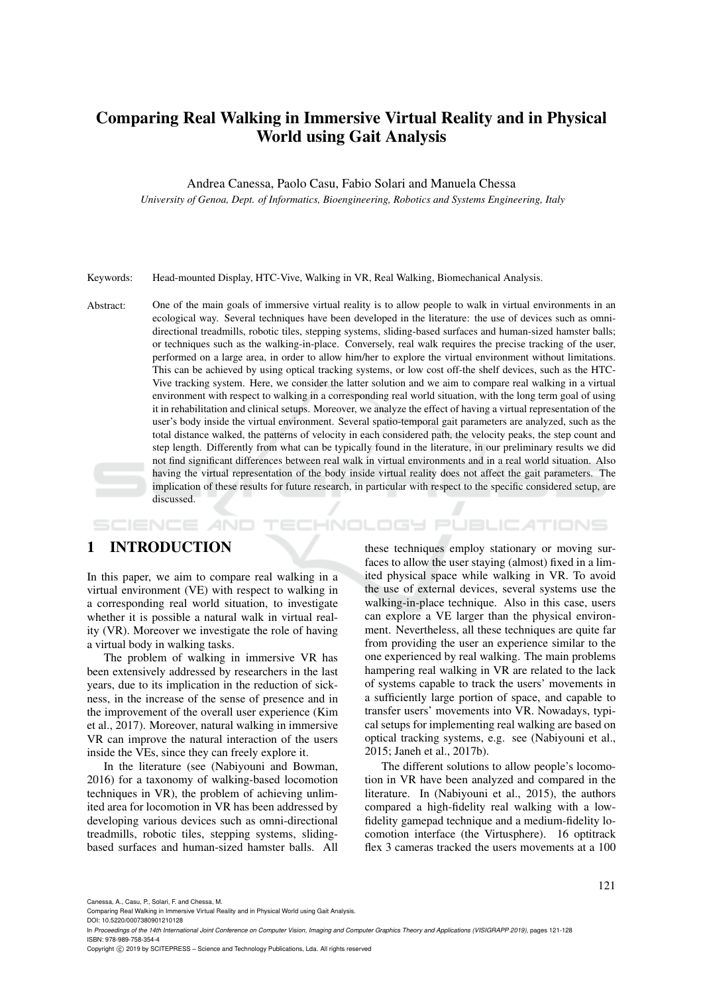# Comparing Real Walking in Immersive Virtual Reality and in Physical World using Gait Analysis

Andrea Canessa, Paolo Casu, Fabio Solari and Manuela Chessa

*University of Genoa, Dept. of Informatics, Bioengineering, Robotics and Systems Engineering, Italy*

Keywords: Head-mounted Display, HTC-Vive, Walking in VR, Real Walking, Biomechanical Analysis.

Abstract: One of the main goals of immersive virtual reality is to allow people to walk in virtual environments in an ecological way. Several techniques have been developed in the literature: the use of devices such as omnidirectional treadmills, robotic tiles, stepping systems, sliding-based surfaces and human-sized hamster balls; or techniques such as the walking-in-place. Conversely, real walk requires the precise tracking of the user, performed on a large area, in order to allow him/her to explore the virtual environment without limitations. This can be achieved by using optical tracking systems, or low cost off-the shelf devices, such as the HTC-Vive tracking system. Here, we consider the latter solution and we aim to compare real walking in a virtual environment with respect to walking in a corresponding real world situation, with the long term goal of using it in rehabilitation and clinical setups. Moreover, we analyze the effect of having a virtual representation of the user's body inside the virtual environment. Several spatio-temporal gait parameters are analyzed, such as the total distance walked, the patterns of velocity in each considered path, the velocity peaks, the step count and step length. Differently from what can be typically found in the literature, in our preliminary results we did not find significant differences between real walk in virtual environments and in a real world situation. Also having the virtual representation of the body inside virtual reality does not affect the gait parameters. The implication of these results for future research, in particular with respect to the specific considered setup, are discussed.

#### HNOLOGY PUBLICATIONS SCIENCE *A*ND

## 1 INTRODUCTION

In this paper, we aim to compare real walking in a virtual environment (VE) with respect to walking in a corresponding real world situation, to investigate whether it is possible a natural walk in virtual reality (VR). Moreover we investigate the role of having a virtual body in walking tasks.

The problem of walking in immersive VR has been extensively addressed by researchers in the last years, due to its implication in the reduction of sickness, in the increase of the sense of presence and in the improvement of the overall user experience (Kim et al., 2017). Moreover, natural walking in immersive VR can improve the natural interaction of the users inside the VEs, since they can freely explore it.

In the literature (see (Nabiyouni and Bowman, 2016) for a taxonomy of walking-based locomotion techniques in VR), the problem of achieving unlimited area for locomotion in VR has been addressed by developing various devices such as omni-directional treadmills, robotic tiles, stepping systems, slidingbased surfaces and human-sized hamster balls. All

these techniques employ stationary or moving surfaces to allow the user staying (almost) fixed in a limited physical space while walking in VR. To avoid the use of external devices, several systems use the walking-in-place technique. Also in this case, users can explore a VE larger than the physical environment. Nevertheless, all these techniques are quite far from providing the user an experience similar to the one experienced by real walking. The main problems hampering real walking in VR are related to the lack of systems capable to track the users' movements in a sufficiently large portion of space, and capable to transfer users' movements into VR. Nowadays, typical setups for implementing real walking are based on optical tracking systems, e.g. see (Nabiyouni et al., 2015; Janeh et al., 2017b).

The different solutions to allow people's locomotion in VR have been analyzed and compared in the literature. In (Nabiyouni et al., 2015), the authors compared a high-fidelity real walking with a lowfidelity gamepad technique and a medium-fidelity locomotion interface (the Virtusphere). 16 optitrack flex 3 cameras tracked the users movements at a 100

Canessa, A., Casu, P., Solari, F. and Chessa, M.

DOI: 10.5220/0007380901210128

In *Proceedings of the 14th International Joint Conference on Computer Vision, Imaging and Computer Graphics Theory and Applications (VISIGRAPP 2019)*, pages 121-128 ISBN: 978-989-758-354-4

Copyright © 2019 by SCITEPRESS - Science and Technology Publications, Lda. All rights reserved

Comparing Real Walking in Immersive Virtual Reality and in Physical World using Gait Analysis.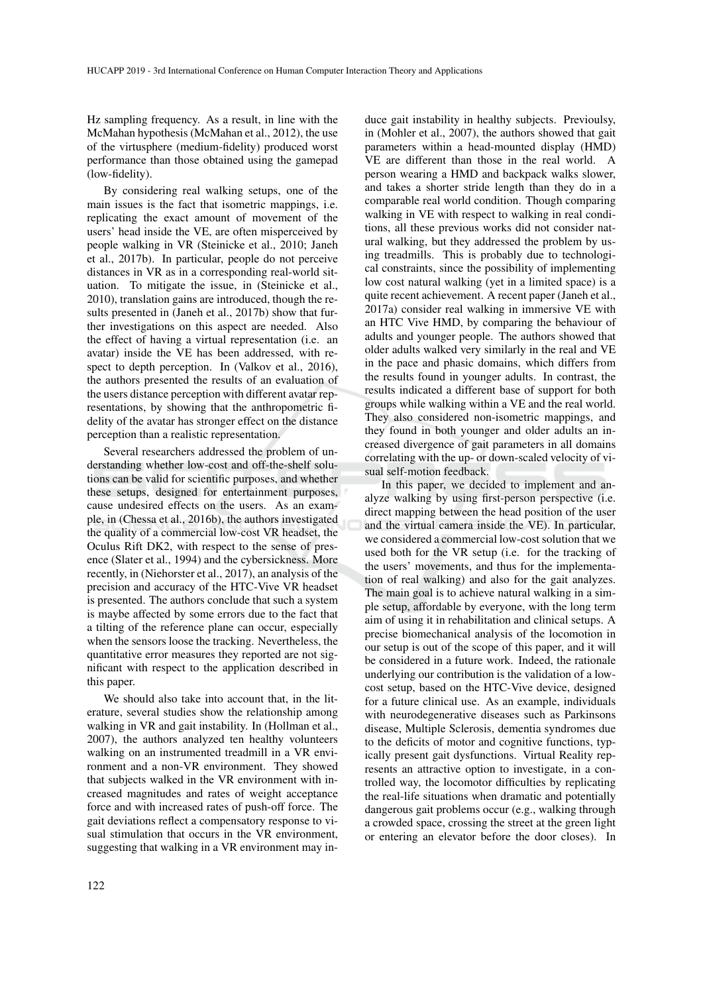Hz sampling frequency. As a result, in line with the McMahan hypothesis (McMahan et al., 2012), the use of the virtusphere (medium-fidelity) produced worst performance than those obtained using the gamepad (low-fidelity).

By considering real walking setups, one of the main issues is the fact that isometric mappings, i.e. replicating the exact amount of movement of the users' head inside the VE, are often misperceived by people walking in VR (Steinicke et al., 2010; Janeh et al., 2017b). In particular, people do not perceive distances in VR as in a corresponding real-world situation. To mitigate the issue, in (Steinicke et al., 2010), translation gains are introduced, though the results presented in (Janeh et al., 2017b) show that further investigations on this aspect are needed. Also the effect of having a virtual representation (i.e. an avatar) inside the VE has been addressed, with respect to depth perception. In (Valkov et al., 2016), the authors presented the results of an evaluation of the users distance perception with different avatar representations, by showing that the anthropometric fidelity of the avatar has stronger effect on the distance perception than a realistic representation.

Several researchers addressed the problem of understanding whether low-cost and off-the-shelf solutions can be valid for scientific purposes, and whether these setups, designed for entertainment purposes, cause undesired effects on the users. As an example, in (Chessa et al., 2016b), the authors investigated the quality of a commercial low-cost VR headset, the Oculus Rift DK2, with respect to the sense of presence (Slater et al., 1994) and the cybersickness. More recently, in (Niehorster et al., 2017), an analysis of the precision and accuracy of the HTC-Vive VR headset is presented. The authors conclude that such a system is maybe affected by some errors due to the fact that a tilting of the reference plane can occur, especially when the sensors loose the tracking. Nevertheless, the quantitative error measures they reported are not significant with respect to the application described in this paper.

We should also take into account that, in the literature, several studies show the relationship among walking in VR and gait instability. In (Hollman et al., 2007), the authors analyzed ten healthy volunteers walking on an instrumented treadmill in a VR environment and a non-VR environment. They showed that subjects walked in the VR environment with increased magnitudes and rates of weight acceptance force and with increased rates of push-off force. The gait deviations reflect a compensatory response to visual stimulation that occurs in the VR environment, suggesting that walking in a VR environment may in-

duce gait instability in healthy subjects. Previoulsy, in (Mohler et al., 2007), the authors showed that gait parameters within a head-mounted display (HMD) VE are different than those in the real world. A person wearing a HMD and backpack walks slower, and takes a shorter stride length than they do in a comparable real world condition. Though comparing walking in VE with respect to walking in real conditions, all these previous works did not consider natural walking, but they addressed the problem by using treadmills. This is probably due to technological constraints, since the possibility of implementing low cost natural walking (yet in a limited space) is a quite recent achievement. A recent paper (Janeh et al., 2017a) consider real walking in immersive VE with an HTC Vive HMD, by comparing the behaviour of adults and younger people. The authors showed that older adults walked very similarly in the real and VE in the pace and phasic domains, which differs from the results found in younger adults. In contrast, the results indicated a different base of support for both groups while walking within a VE and the real world. They also considered non-isometric mappings, and they found in both younger and older adults an increased divergence of gait parameters in all domains correlating with the up- or down-scaled velocity of visual self-motion feedback.

In this paper, we decided to implement and analyze walking by using first-person perspective (i.e. direct mapping between the head position of the user and the virtual camera inside the VE). In particular, we considered a commercial low-cost solution that we used both for the VR setup (i.e. for the tracking of the users' movements, and thus for the implementation of real walking) and also for the gait analyzes. The main goal is to achieve natural walking in a simple setup, affordable by everyone, with the long term aim of using it in rehabilitation and clinical setups. A precise biomechanical analysis of the locomotion in our setup is out of the scope of this paper, and it will be considered in a future work. Indeed, the rationale underlying our contribution is the validation of a lowcost setup, based on the HTC-Vive device, designed for a future clinical use. As an example, individuals with neurodegenerative diseases such as Parkinsons disease, Multiple Sclerosis, dementia syndromes due to the deficits of motor and cognitive functions, typically present gait dysfunctions. Virtual Reality represents an attractive option to investigate, in a controlled way, the locomotor difficulties by replicating the real-life situations when dramatic and potentially dangerous gait problems occur (e.g., walking through a crowded space, crossing the street at the green light or entering an elevator before the door closes). In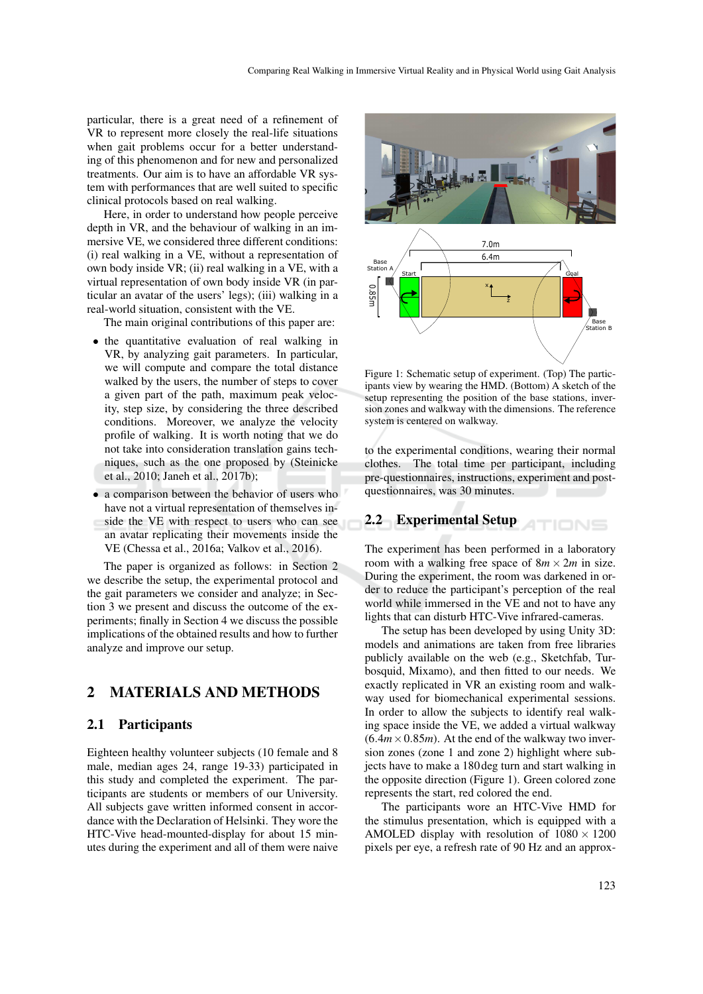particular, there is a great need of a refinement of VR to represent more closely the real-life situations when gait problems occur for a better understanding of this phenomenon and for new and personalized treatments. Our aim is to have an affordable VR system with performances that are well suited to specific clinical protocols based on real walking.

Here, in order to understand how people perceive depth in VR, and the behaviour of walking in an immersive VE, we considered three different conditions: (i) real walking in a VE, without a representation of own body inside VR; (ii) real walking in a VE, with a virtual representation of own body inside VR (in particular an avatar of the users' legs); (iii) walking in a real-world situation, consistent with the VE.

The main original contributions of this paper are:

- the quantitative evaluation of real walking in VR, by analyzing gait parameters. In particular, we will compute and compare the total distance walked by the users, the number of steps to cover a given part of the path, maximum peak velocity, step size, by considering the three described conditions. Moreover, we analyze the velocity profile of walking. It is worth noting that we do not take into consideration translation gains techniques, such as the one proposed by (Steinicke et al., 2010; Janeh et al., 2017b); Interior C. We Constrained Unreliant Conducts and the measure of the them were stated VR, the measure of the them were the them were the them were the them were the them were leads to the measure of the them were leads to
- a comparison between the behavior of users who have not a virtual representation of themselves inside the VE with respect to users who can see an avatar replicating their movements inside the VE (Chessa et al., 2016a; Valkov et al., 2016).

The paper is organized as follows: in Section 2 we describe the setup, the experimental protocol and the gait parameters we consider and analyze; in Section 3 we present and discuss the outcome of the experiments; finally in Section 4 we discuss the possible implications of the obtained results and how to further analyze and improve our setup.

## 2 MATERIALS AND METHODS

#### 2.1 Participants

Eighteen healthy volunteer subjects (10 female and 8 male, median ages 24, range 19-33) participated in this study and completed the experiment. The participants are students or members of our University. All subjects gave written informed consent in accordance with the Declaration of Helsinki. They wore the HTC-Vive head-mounted-display for about 15 min-



Figure 1: Schematic setup of experiment. (Top) The participants view by wearing the HMD. (Bottom) A sketch of the setup representing the position of the base stations, inversion zones and walkway with the dimensions. The reference system is centered on walkway.

to the experimental conditions, wearing their normal clothes. The total time per participant, including pre-questionnaires, instructions, experiment and postquestionnaires, was 30 minutes.

#### 2.2 Experimental Setup **ATIONS**

The experiment has been performed in a laboratory room with a walking free space of  $8m \times 2m$  in size. During the experiment, the room was darkened in order to reduce the participant's perception of the real world while immersed in the VE and not to have any lights that can disturb HTC-Vive infrared-cameras.

The setup has been developed by using Unity 3D: models and animations are taken from free libraries publicly available on the web (e.g., Sketchfab, Turbosquid, Mixamo), and then fitted to our needs. We exactly replicated in VR an existing room and walkway used for biomechanical experimental sessions. In order to allow the subjects to identify real walking space inside the VE, we added a virtual walkway  $(6.4m \times 0.85m)$ . At the end of the walkway two inversion zones (zone 1 and zone 2) highlight where subjects have to make a 180 deg turn and start walking in the opposite direction (Figure 1). Green colored zone represents the start, red colored the end.

The participants wore an HTC-Vive HMD for the stimulus presentation, which is equipped with a AMOLED display with resolution of  $1080 \times 1200$ pixels per eye, a refresh rate of 90 Hz and an approx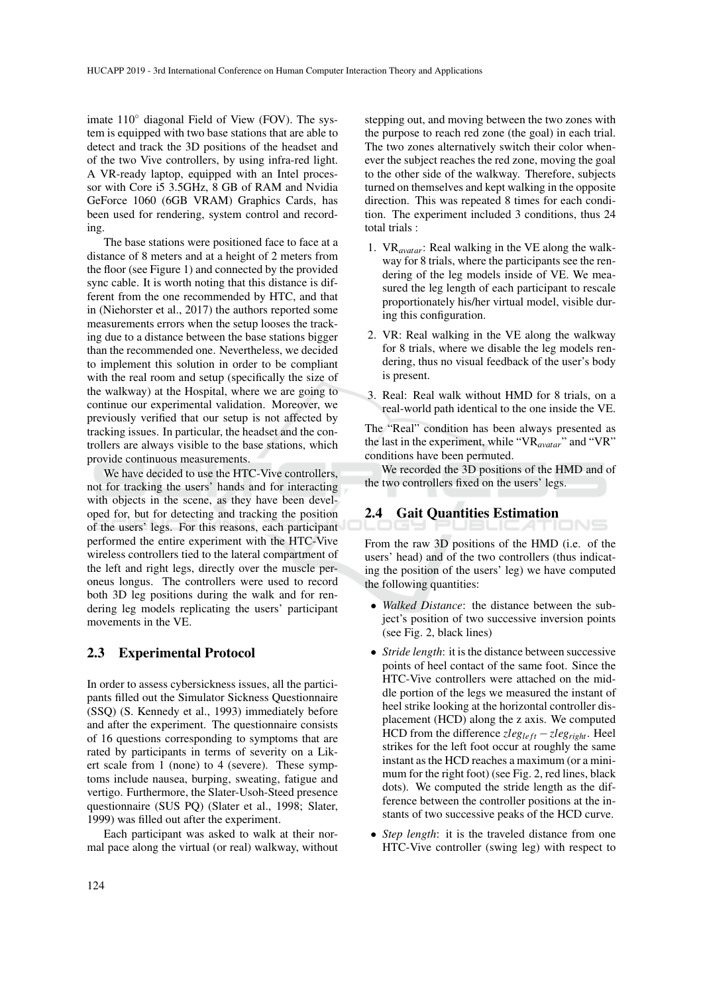imate 110◦ diagonal Field of View (FOV). The system is equipped with two base stations that are able to detect and track the 3D positions of the headset and of the two Vive controllers, by using infra-red light. A VR-ready laptop, equipped with an Intel processor with Core i5 3.5GHz, 8 GB of RAM and Nvidia GeForce 1060 (6GB VRAM) Graphics Cards, has been used for rendering, system control and recording.

The base stations were positioned face to face at a distance of 8 meters and at a height of 2 meters from the floor (see Figure 1) and connected by the provided sync cable. It is worth noting that this distance is different from the one recommended by HTC, and that in (Niehorster et al., 2017) the authors reported some measurements errors when the setup looses the tracking due to a distance between the base stations bigger than the recommended one. Nevertheless, we decided to implement this solution in order to be compliant with the real room and setup (specifically the size of the walkway) at the Hospital, where we are going to continue our experimental validation. Moreover, we previously verified that our setup is not affected by tracking issues. In particular, the headset and the controllers are always visible to the base stations, which provide continuous measurements.

We have decided to use the HTC-Vive controllers, not for tracking the users' hands and for interacting with objects in the scene, as they have been developed for, but for detecting and tracking the position of the users' legs. For this reasons, each participant performed the entire experiment with the HTC-Vive wireless controllers tied to the lateral compartment of the left and right legs, directly over the muscle peroneus longus. The controllers were used to record both 3D leg positions during the walk and for rendering leg models replicating the users' participant movements in the VE.

#### 2.3 Experimental Protocol

In order to assess cybersickness issues, all the participants filled out the Simulator Sickness Questionnaire (SSQ) (S. Kennedy et al., 1993) immediately before and after the experiment. The questionnaire consists of 16 questions corresponding to symptoms that are rated by participants in terms of severity on a Likert scale from 1 (none) to 4 (severe). These symptoms include nausea, burping, sweating, fatigue and vertigo. Furthermore, the Slater-Usoh-Steed presence questionnaire (SUS PQ) (Slater et al., 1998; Slater, 1999) was filled out after the experiment.

Each participant was asked to walk at their normal pace along the virtual (or real) walkway, without

stepping out, and moving between the two zones with the purpose to reach red zone (the goal) in each trial. The two zones alternatively switch their color whenever the subject reaches the red zone, moving the goal to the other side of the walkway. Therefore, subjects turned on themselves and kept walking in the opposite direction. This was repeated 8 times for each condition. The experiment included 3 conditions, thus 24 total trials :

- 1. VR*avatar*: Real walking in the VE along the walkway for 8 trials, where the participants see the rendering of the leg models inside of VE. We measured the leg length of each participant to rescale proportionately his/her virtual model, visible during this configuration.
- 2. VR: Real walking in the VE along the walkway for 8 trials, where we disable the leg models rendering, thus no visual feedback of the user's body is present.
- 3. Real: Real walk without HMD for 8 trials, on a real-world path identical to the one inside the VE.

The "Real" condition has been always presented as the last in the experiment, while "VR*avatar*" and "VR" conditions have been permuted.

We recorded the 3D positions of the HMD and of the two controllers fixed on the users' legs.

## 2.4 Gait Quantities Estimation

From the raw 3D positions of the HMD (i.e. of the users' head) and of the two controllers (thus indicating the position of the users' leg) we have computed the following quantities:

- *Walked Distance*: the distance between the subject's position of two successive inversion points (see Fig. 2, black lines)
- *Stride length*: it is the distance between successive points of heel contact of the same foot. Since the HTC-Vive controllers were attached on the middle portion of the legs we measured the instant of heel strike looking at the horizontal controller displacement (HCD) along the z axis. We computed HCD from the difference *zlegle ft* −*zlegright*. Heel strikes for the left foot occur at roughly the same instant as the HCD reaches a maximum (or a minimum for the right foot) (see Fig. 2, red lines, black dots). We computed the stride length as the difference between the controller positions at the instants of two successive peaks of the HCD curve.
- *Step length*: it is the traveled distance from one HTC-Vive controller (swing leg) with respect to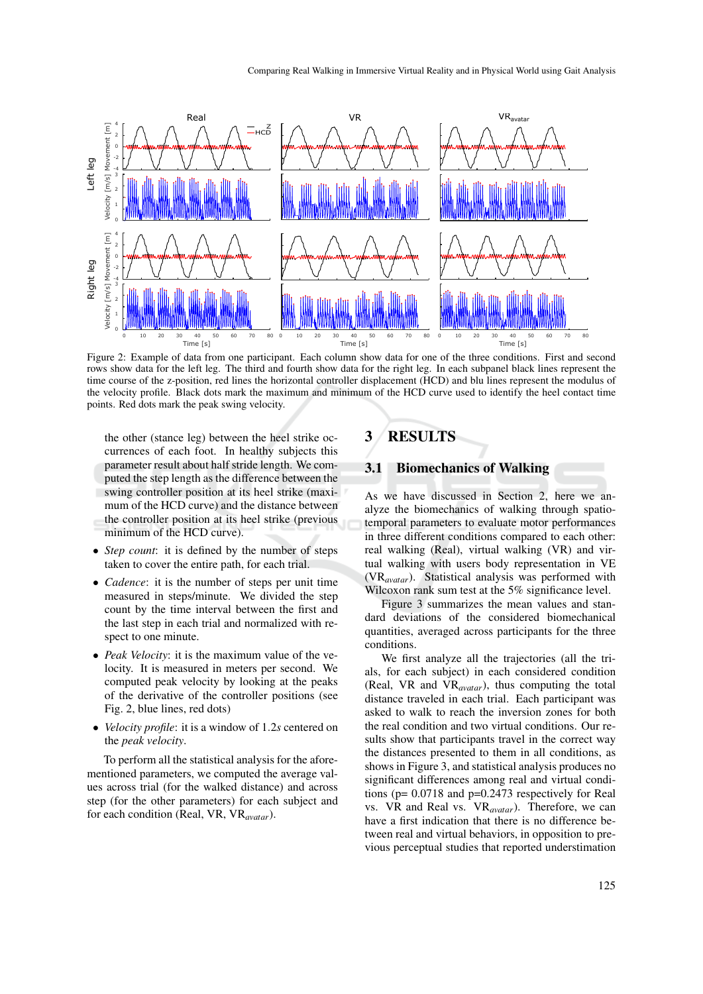

Figure 2: Example of data from one participant. Each column show data for one of the three conditions. First and second rows show data for the left leg. The third and fourth show data for the right leg. In each subpanel black lines represent the time course of the z-position, red lines the horizontal controller displacement (HCD) and blu lines represent the modulus of the velocity profile. Black dots mark the maximum and minimum of the HCD curve used to identify the heel contact time points. Red dots mark the peak swing velocity.

the other (stance leg) between the heel strike occurrences of each foot. In healthy subjects this parameter result about half stride length. We computed the step length as the difference between the swing controller position at its heel strike (maximum of the HCD curve) and the distance between the controller position at its heel strike (previous minimum of the HCD curve).

- *Step count*: it is defined by the number of steps taken to cover the entire path, for each trial.
- *Cadence*: it is the number of steps per unit time measured in steps/minute. We divided the step count by the time interval between the first and the last step in each trial and normalized with respect to one minute.
- *Peak Velocity*: it is the maximum value of the velocity. It is measured in meters per second. We computed peak velocity by looking at the peaks of the derivative of the controller positions (see Fig. 2, blue lines, red dots)
- *Velocity profile*: it is a window of 1.2*s* centered on the *peak velocity*.

To perform all the statistical analysis for the aforementioned parameters, we computed the average values across trial (for the walked distance) and across step (for the other parameters) for each subject and for each condition (Real, VR, VR*avatar*).

# 3 RESULTS

#### 3.1 Biomechanics of Walking

As we have discussed in Section 2, here we analyze the biomechanics of walking through spatiotemporal parameters to evaluate motor performances in three different conditions compared to each other: real walking (Real), virtual walking (VR) and virtual walking with users body representation in VE (VR*avatar*). Statistical analysis was performed with Wilcoxon rank sum test at the 5% significance level.

Figure 3 summarizes the mean values and standard deviations of the considered biomechanical quantities, averaged across participants for the three conditions.

We first analyze all the trajectories (all the trials, for each subject) in each considered condition (Real, VR and VR*avatar*), thus computing the total distance traveled in each trial. Each participant was asked to walk to reach the inversion zones for both the real condition and two virtual conditions. Our results show that participants travel in the correct way the distances presented to them in all conditions, as shows in Figure 3, and statistical analysis produces no significant differences among real and virtual conditions (p= 0.0718 and p=0.2473 respectively for Real vs. VR and Real vs. VR*avatar*). Therefore, we can have a first indication that there is no difference between real and virtual behaviors, in opposition to previous perceptual studies that reported understimation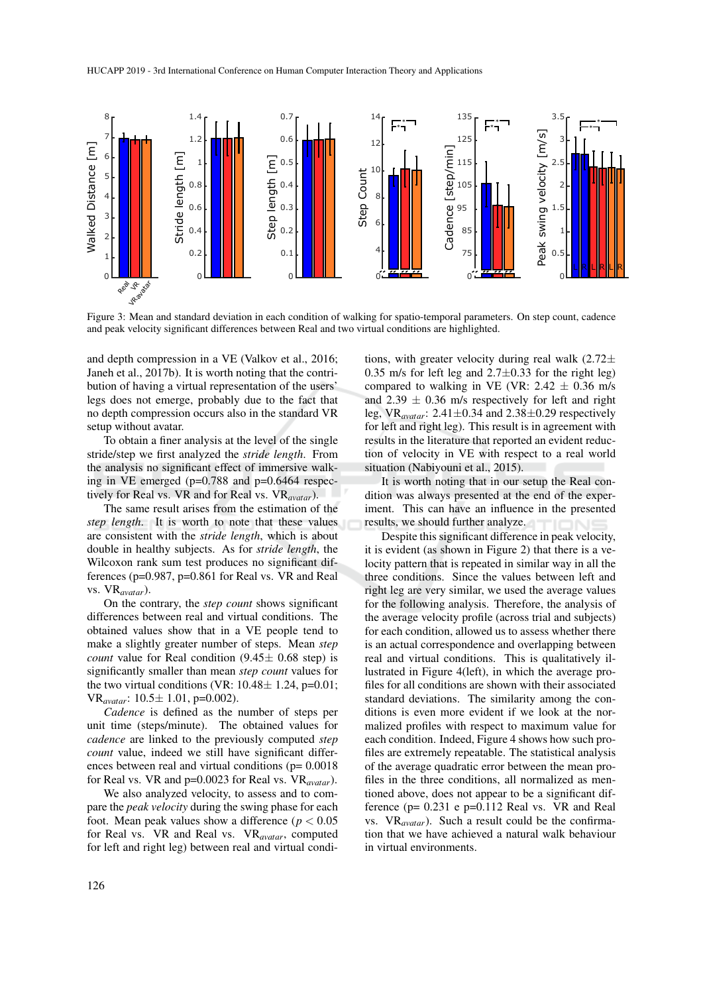

Figure 3: Mean and standard deviation in each condition of walking for spatio-temporal parameters. On step count, cadence and peak velocity significant differences between Real and two virtual conditions are highlighted.

and depth compression in a VE (Valkov et al., 2016; Janeh et al., 2017b). It is worth noting that the contribution of having a virtual representation of the users' legs does not emerge, probably due to the fact that no depth compression occurs also in the standard VR setup without avatar.

To obtain a finer analysis at the level of the single stride/step we first analyzed the *stride length*. From the analysis no significant effect of immersive walking in VE emerged (p=0.788 and p=0.6464 respectively for Real vs. VR and for Real vs. VR*avatar*).

The same result arises from the estimation of the *step length*. It is worth to note that these values are consistent with the *stride length*, which is about double in healthy subjects. As for *stride length*, the Wilcoxon rank sum test produces no significant differences ( $p=0.987$ ,  $p=0.861$  for Real vs. VR and Real vs. VR*avatar*).

On the contrary, the *step count* shows significant differences between real and virtual conditions. The obtained values show that in a VE people tend to make a slightly greater number of steps. Mean *step count* value for Real condition  $(9.45 \pm 0.68 \text{ step})$  is significantly smaller than mean *step count* values for the two virtual conditions (VR:  $10.48 \pm 1.24$ , p=0.01; VR*avatar*: 10.5± 1.01, p=0.002).

*Cadence* is defined as the number of steps per unit time (steps/minute). The obtained values for *cadence* are linked to the previously computed *step count* value, indeed we still have significant differences between real and virtual conditions (p= 0.0018 for Real vs. VR and p=0.0023 for Real vs. VR*avatar*).

We also analyzed velocity, to assess and to compare the *peak velocity* during the swing phase for each foot. Mean peak values show a difference ( $p < 0.05$ ) for Real vs. VR and Real vs. VR*avatar*, computed for left and right leg) between real and virtual conditions, with greater velocity during real walk  $(2.72\pm$ 0.35 m/s for left leg and  $2.7 \pm 0.33$  for the right leg) compared to walking in VE (VR:  $2.42 \pm 0.36$  m/s and  $2.39 \pm 0.36$  m/s respectively for left and right leg,  $VR_{avatar}$ : 2.41 $\pm$ 0.34 and 2.38 $\pm$ 0.29 respectively for left and right leg). This result is in agreement with results in the literature that reported an evident reduction of velocity in VE with respect to a real world situation (Nabiyouni et al., 2015).

It is worth noting that in our setup the Real condition was always presented at the end of the experiment. This can have an influence in the presented results, we should further analyze.

Despite this significant difference in peak velocity, it is evident (as shown in Figure 2) that there is a velocity pattern that is repeated in similar way in all the three conditions. Since the values between left and right leg are very similar, we used the average values for the following analysis. Therefore, the analysis of the average velocity profile (across trial and subjects) for each condition, allowed us to assess whether there is an actual correspondence and overlapping between real and virtual conditions. This is qualitatively illustrated in Figure 4(left), in which the average profiles for all conditions are shown with their associated standard deviations. The similarity among the conditions is even more evident if we look at the normalized profiles with respect to maximum value for each condition. Indeed, Figure 4 shows how such profiles are extremely repeatable. The statistical analysis of the average quadratic error between the mean profiles in the three conditions, all normalized as mentioned above, does not appear to be a significant difference  $(p= 0.231 e p=0.112$  Real vs. VR and Real vs. VR*avatar*). Such a result could be the confirmation that we have achieved a natural walk behaviour in virtual environments.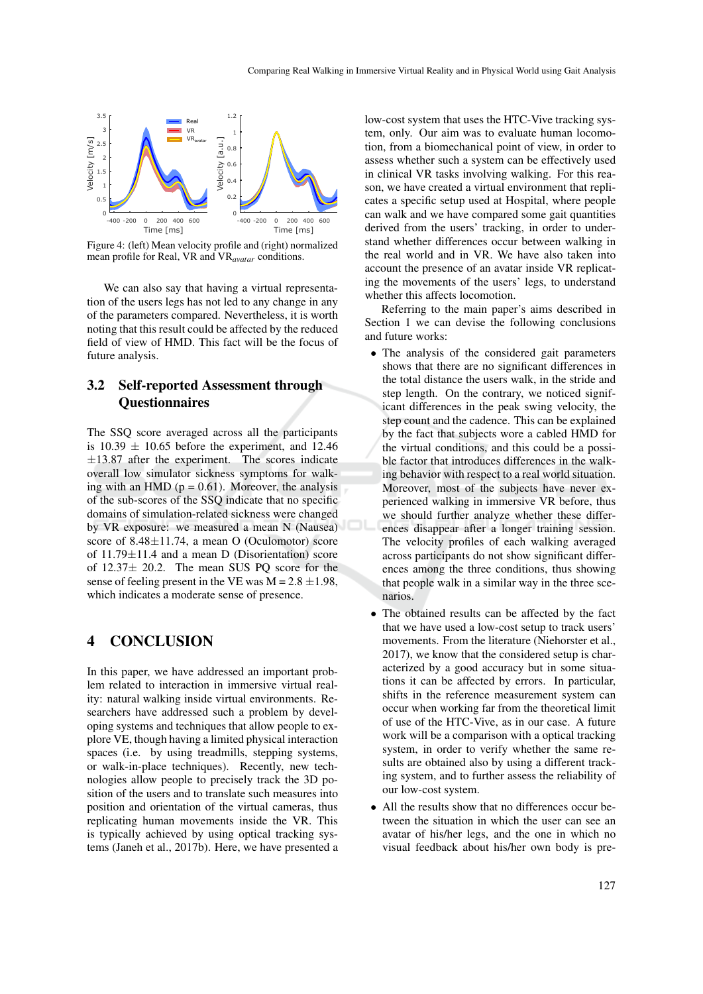

Figure 4: (left) Mean velocity profile and (right) normalized mean profile for Real, VR and VR*avatar* conditions.

We can also say that having a virtual representation of the users legs has not led to any change in any of the parameters compared. Nevertheless, it is worth noting that this result could be affected by the reduced field of view of HMD. This fact will be the focus of future analysis.

## 3.2 Self-reported Assessment through **Questionnaires**

The SSQ score averaged across all the participants is  $10.39 \pm 10.65$  before the experiment, and 12.46  $\pm$ 13.87 after the experiment. The scores indicate overall low simulator sickness symptoms for walking with an HMD ( $p = 0.61$ ). Moreover, the analysis of the sub-scores of the SSQ indicate that no specific domains of simulation-related sickness were changed by VR exposure: we measured a mean N (Nausea) score of  $8.48 \pm 11.74$ , a mean O (Oculomotor) score of  $11.79 \pm 11.4$  and a mean D (Disorientation) score of 12.37± 20.2. The mean SUS PQ score for the sense of feeling present in the VE was  $M = 2.8 \pm 1.98$ , which indicates a moderate sense of presence.

## 4 CONCLUSION

In this paper, we have addressed an important problem related to interaction in immersive virtual reality: natural walking inside virtual environments. Researchers have addressed such a problem by developing systems and techniques that allow people to explore VE, though having a limited physical interaction spaces (i.e. by using treadmills, stepping systems, or walk-in-place techniques). Recently, new technologies allow people to precisely track the 3D position of the users and to translate such measures into position and orientation of the virtual cameras, thus replicating human movements inside the VR. This is typically achieved by using optical tracking systems (Janeh et al., 2017b). Here, we have presented a

low-cost system that uses the HTC-Vive tracking system, only. Our aim was to evaluate human locomotion, from a biomechanical point of view, in order to assess whether such a system can be effectively used in clinical VR tasks involving walking. For this reason, we have created a virtual environment that replicates a specific setup used at Hospital, where people can walk and we have compared some gait quantities derived from the users' tracking, in order to understand whether differences occur between walking in the real world and in VR. We have also taken into account the presence of an avatar inside VR replicating the movements of the users' legs, to understand whether this affects locomotion.

Referring to the main paper's aims described in Section 1 we can devise the following conclusions and future works:

- The analysis of the considered gait parameters shows that there are no significant differences in the total distance the users walk, in the stride and step length. On the contrary, we noticed significant differences in the peak swing velocity, the step count and the cadence. This can be explained by the fact that subjects wore a cabled HMD for the virtual conditions, and this could be a possible factor that introduces differences in the walking behavior with respect to a real world situation. Moreover, most of the subjects have never experienced walking in immersive VR before, thus we should further analyze whether these differences disappear after a longer training session. The velocity profiles of each walking averaged across participants do not show significant differences among the three conditions, thus showing that people walk in a similar way in the three scenarios.
- The obtained results can be affected by the fact that we have used a low-cost setup to track users' movements. From the literature (Niehorster et al., 2017), we know that the considered setup is characterized by a good accuracy but in some situations it can be affected by errors. In particular, shifts in the reference measurement system can occur when working far from the theoretical limit of use of the HTC-Vive, as in our case. A future work will be a comparison with a optical tracking system, in order to verify whether the same results are obtained also by using a different tracking system, and to further assess the reliability of our low-cost system.
- All the results show that no differences occur between the situation in which the user can see an avatar of his/her legs, and the one in which no visual feedback about his/her own body is pre-